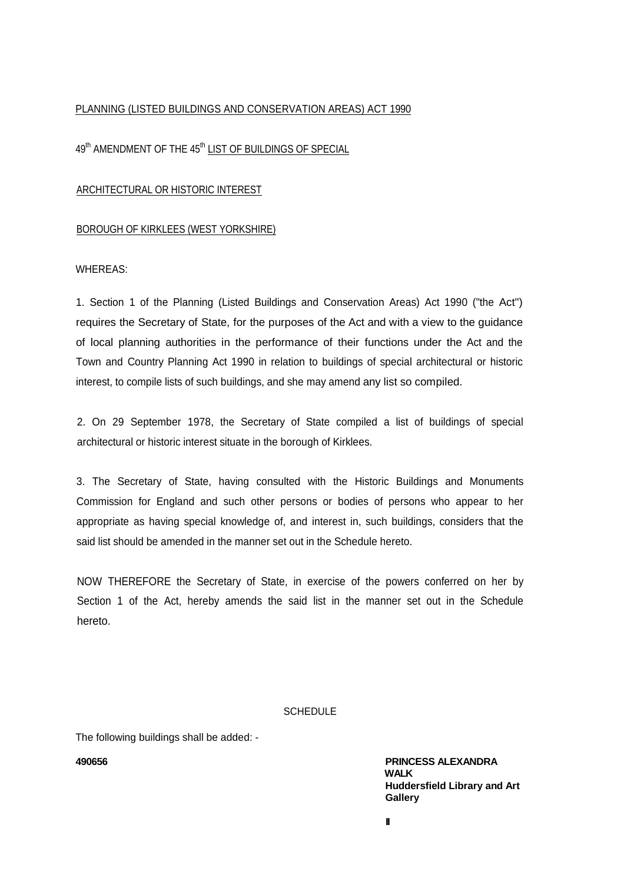## PLANNING (LISTED BUILDINGS AND CONSERVATION AREAS) ACT 1990

# 49<sup>th</sup> AMENDMENT OF THE 45<sup>th</sup> LIST OF BUILDINGS OF SPECIAL

## ARCHITECTURAL OR HISTORIC INTEREST

## BOROUGH OF KIRKLEES (WEST YORKSHIRE)

#### WHEREAS:

1. Section 1 of the Planning (Listed Buildings and Conservation Areas) Act 1990 ("the Act") requires the Secretary of State, for the purposes of the Act and with a view to the guidance of local planning authorities in the performance of their functions under the Act and the Town and Country Planning Act 1990 in relation to buildings of special architectural or historic interest, to compile lists of such buildings, and she may amend any list so compiled.

2. On 29 September 1978, the Secretary of State compiled a list of buildings of special architectural or historic interest situate in the borough of Kirklees.

3. The Secretary of State, having consulted with the Historic Buildings and Monuments Commission for England and such other persons or bodies of persons who appear to her appropriate as having special knowledge of, and interest in, such buildings, considers that the said list should be amended in the manner set out in the Schedule hereto.

NOW THEREFORE the Secretary of State, in exercise of the powers conferred on her by Section 1 of the Act, hereby amends the said list in the manner set out in the Schedule hereto.

## **SCHEDULE**

The following buildings shall be added: -

**490656 PRINCESS ALEXANDRA WALK Huddersfield Library and Art Gallery**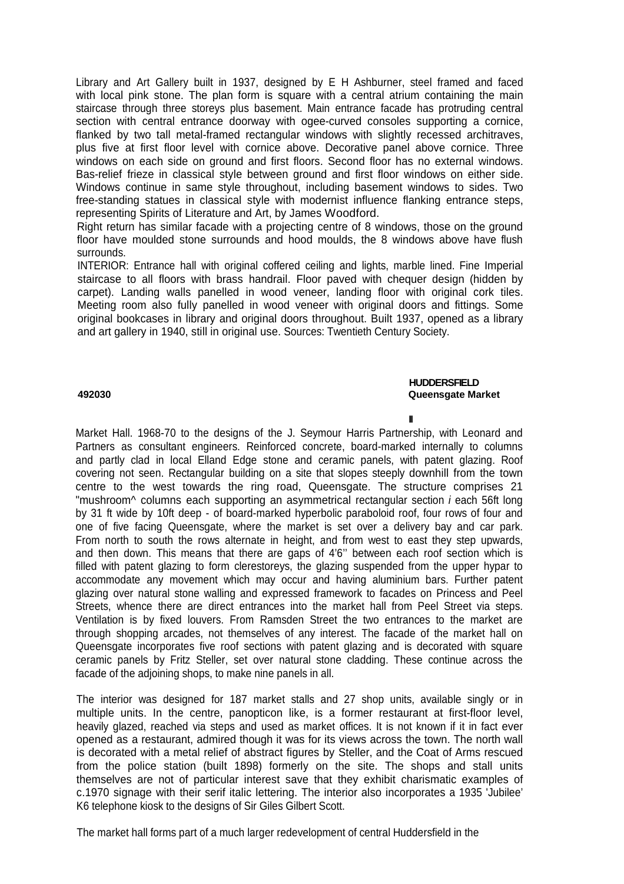Library and Art Gallery built in 1937, designed by E H Ashburner, steel framed and faced with local pink stone. The plan form is square with a central atrium containing the main staircase through three storeys plus basement. Main entrance facade has protruding central section with central entrance doorway with ogee-curved consoles supporting a cornice, flanked by two tall metal-framed rectangular windows with slightly recessed architraves, plus five at first floor level with cornice above. Decorative panel above cornice. Three windows on each side on ground and first floors. Second floor has no external windows. Bas-relief frieze in classical style between ground and first floor windows on either side. Windows continue in same style throughout, including basement windows to sides. Two free-standing statues in classical style with modernist influence flanking entrance steps, representing Spirits of Literature and Art, by James Woodford.

Right return has similar facade with a projecting centre of 8 windows, those on the ground floor have moulded stone surrounds and hood moulds, the 8 windows above have flush surrounds.

INTERIOR: Entrance hall with original coffered ceiling and lights, marble lined. Fine Imperial staircase to all floors with brass handrail. Floor paved with chequer design (hidden by carpet). Landing walls panelled in wood veneer, landing floor with original cork tiles. Meeting room also fully panelled in wood veneer with original doors and fittings. Some original bookcases in library and original doors throughout. Built 1937, opened as a library and art gallery in 1940, still in original use. Sources: Twentieth Century Society.

#### **HUDDERSFIELD 492030 Queensgate Market**

**II**

Market Hall. 1968-70 to the designs of the J. Seymour Harris Partnership, with Leonard and Partners as consultant engineers. Reinforced concrete, board-marked internally to columns and partly clad in local Elland Edge stone and ceramic panels, with patent glazing. Roof covering not seen. Rectangular building on a site that slopes steeply downhill from the town centre to the west towards the ring road, Queensgate. The structure comprises 21 "mushroom^ columns each supporting an asymmetrical rectangular section *i* each 56ft long by 31 ft wide by 10ft deep - of board-marked hyperbolic paraboloid roof, four rows of four and one of five facing Queensgate, where the market is set over a delivery bay and car park. From north to south the rows alternate in height, and from west to east they step upwards, and then down. This means that there are gaps of 4'6'' between each roof section which is filled with patent glazing to form clerestoreys, the glazing suspended from the upper hypar to accommodate any movement which may occur and having aluminium bars. Further patent glazing over natural stone walling and expressed framework to facades on Princess and Peel Streets, whence there are direct entrances into the market hall from Peel Street via steps. Ventilation is by fixed louvers. From Ramsden Street the two entrances to the market are through shopping arcades, not themselves of any interest. The facade of the market hall on Queensgate incorporates five roof sections with patent glazing and is decorated with square ceramic panels by Fritz Steller, set over natural stone cladding. These continue across the facade of the adjoining shops, to make nine panels in all.

The interior was designed for 187 market stalls and 27 shop units, available singly or in multiple units. In the centre, panopticon like, is a former restaurant at first-floor level, heavily glazed, reached via steps and used as market offices. It is not known if it in fact ever opened as a restaurant, admired though it was for its views across the town. The north wall is decorated with a metal relief of abstract figures by Steller, and the Coat of Arms rescued from the police station (built 1898) formerly on the site. The shops and stall units themselves are not of particular interest save that they exhibit charismatic examples of c.1970 signage with their serif italic lettering. The interior also incorporates a 1935 'Jubilee' K6 telephone kiosk to the designs of Sir Giles Gilbert Scott.

The market hall forms part of a much larger redevelopment of central Huddersfield in the